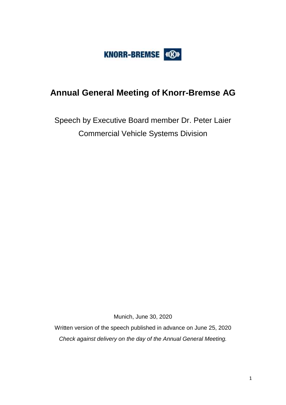

# **Annual General Meeting of Knorr-Bremse AG**

Speech by Executive Board member Dr. Peter Laier Commercial Vehicle Systems Division

Munich, June 30, 2020

Written version of the speech published in advance on June 25, 2020 *Check against delivery on the day of the Annual General Meeting.*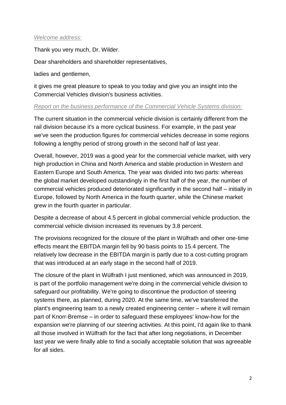## *Welcome address:*

Thank you very much, Dr. Wilder.

Dear shareholders and shareholder representatives,

ladies and gentlemen,

it gives me great pleasure to speak to you today and give you an insight into the Commercial Vehicles division's business activities.

#### *Report on the business performance of the Commercial Vehicle Systems division:*

The current situation in the commercial vehicle division is certainly different from the rail division because it's a more cyclical business. For example, in the past year we've seen the production figures for commercial vehicles decrease in some regions following a lengthy period of strong growth in the second half of last year.

Overall, however, 2019 was a good year for the commercial vehicle market, with very high production in China and North America and stable production in Western and Eastern Europe and South America. The year was divided into two parts: whereas the global market developed outstandingly in the first half of the year, the number of commercial vehicles produced deteriorated significantly in the second half – initially in Europe, followed by North America in the fourth quarter, while the Chinese market grew in the fourth quarter in particular.

Despite a decrease of about 4.5 percent in global commercial vehicle production, the commercial vehicle division increased its revenues by 3.8 percent.

The provisions recognized for the closure of the plant in Wülfrath and other one-time effects meant the EBITDA margin fell by 90 basis points to 15.4 percent. The relatively low decrease in the EBITDA margin is partly due to a cost-cutting program that was introduced at an early stage in the second half of 2019.

The closure of the plant in Wülfrath I just mentioned, which was announced in 2019, is part of the portfolio management we're doing in the commercial vehicle division to safeguard our profitability. We're going to discontinue the production of steering systems there, as planned, during 2020. At the same time, we've transferred the plant's engineering team to a newly created engineering center – where it will remain part of Knorr-Bremse – in order to safeguard these employees' know-how for the expansion we're planning of our steering activities. At this point, I'd again like to thank all those involved in Wülfrath for the fact that after long negotiations, in December last year we were finally able to find a socially acceptable solution that was agreeable for all sides.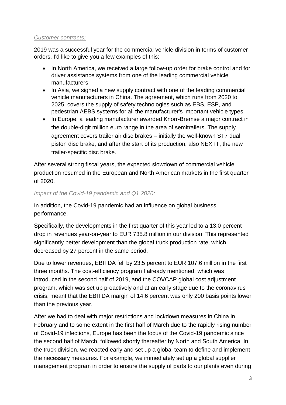## *Customer contracts:*

2019 was a successful year for the commercial vehicle division in terms of customer orders. I'd like to give you a few examples of this:

- In North America, we received a large follow-up order for brake control and for driver assistance systems from one of the leading commercial vehicle manufacturers.
- In Asia, we signed a new supply contract with one of the leading commercial vehicle manufacturers in China. The agreement, which runs from 2020 to 2025, covers the supply of safety technologies such as EBS, ESP, and pedestrian AEBS systems for all the manufacturer's important vehicle types.
- In Europe, a leading manufacturer awarded Knorr-Bremse a major contract in the double-digit million euro range in the area of semitrailers. The supply agreement covers trailer air disc brakes – initially the well-known ST7 dual piston disc brake, and after the start of its production, also NEXTT, the new trailer-specific disc brake.

After several strong fiscal years, the expected slowdown of commercial vehicle production resumed in the European and North American markets in the first quarter of 2020.

## *Impact of the Covid-19 pandemic and Q1 2020:*

In addition, the Covid-19 pandemic had an influence on global business performance.

Specifically, the developments in the first quarter of this year led to a 13.0 percent drop in revenues year-on-year to EUR 735.8 million in our division. This represented significantly better development than the global truck production rate, which decreased by 27 percent in the same period.

Due to lower revenues, EBITDA fell by 23.5 percent to EUR 107.6 million in the first three months. The cost-efficiency program I already mentioned, which was introduced in the second half of 2019, and the COVCAP global cost adjustment program, which was set up proactively and at an early stage due to the coronavirus crisis, meant that the EBITDA margin of 14.6 percent was only 200 basis points lower than the previous year.

After we had to deal with major restrictions and lockdown measures in China in February and to some extent in the first half of March due to the rapidly rising number of Covid-19 infections, Europe has been the focus of the Covid-19 pandemic since the second half of March, followed shortly thereafter by North and South America. In the truck division, we reacted early and set up a global team to define and implement the necessary measures. For example, we immediately set up a global supplier management program in order to ensure the supply of parts to our plants even during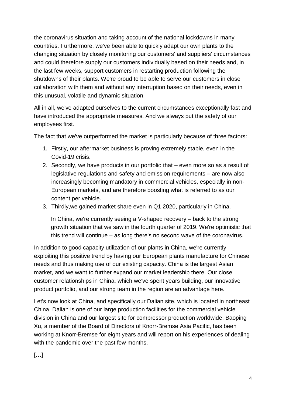the coronavirus situation and taking account of the national lockdowns in many countries. Furthermore, we've been able to quickly adapt our own plants to the changing situation by closely monitoring our customers' and suppliers' circumstances and could therefore supply our customers individually based on their needs and, in the last few weeks, support customers in restarting production following the shutdowns of their plants. We're proud to be able to serve our customers in close collaboration with them and without any interruption based on their needs, even in this unusual, volatile and dynamic situation.

All in all, we've adapted ourselves to the current circumstances exceptionally fast and have introduced the appropriate measures. And we always put the safety of our employees first.

The fact that we've outperformed the market is particularly because of three factors:

- 1. Firstly, our aftermarket business is proving extremely stable, even in the Covid-19 crisis.
- 2. Secondly, we have products in our portfolio that even more so as a result of legislative regulations and safety and emission requirements – are now also increasingly becoming mandatory in commercial vehicles, especially in non-European markets, and are therefore boosting what is referred to as our content per vehicle.
- 3. Thirdly,we gained market share even in Q1 2020, particularly in China.

In China, we're currently seeing a V-shaped recovery – back to the strong growth situation that we saw in the fourth quarter of 2019. We're optimistic that this trend will continue – as long there's no second wave of the coronavirus.

In addition to good capacity utilization of our plants in China, we're currently exploiting this positive trend by having our European plants manufacture for Chinese needs and thus making use of our existing capacity. China is the largest Asian market, and we want to further expand our market leadership there. Our close customer relationships in China, which we've spent years building, our innovative product portfolio, and our strong team in the region are an advantage here.

Let's now look at China, and specifically our Dalian site, which is located in northeast China. Dalian is one of our large production facilities for the commercial vehicle division in China and our largest site for compressor production worldwide. Baoping Xu, a member of the Board of Directors of Knorr-Bremse Asia Pacific, has been working at Knorr-Bremse for eight years and will report on his experiences of dealing with the pandemic over the past few months.

 $\left[\ldots\right]$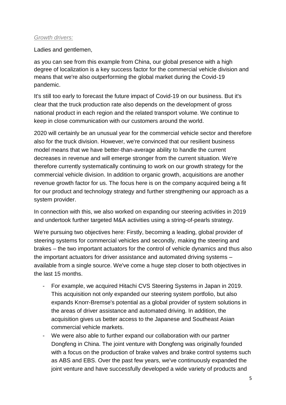## *Growth drivers:*

Ladies and gentlemen,

as you can see from this example from China, our global presence with a high degree of localization is a key success factor for the commercial vehicle division and means that we're also outperforming the global market during the Covid-19 pandemic.

It's still too early to forecast the future impact of Covid-19 on our business. But it's clear that the truck production rate also depends on the development of gross national product in each region and the related transport volume. We continue to keep in close communication with our customers around the world.

2020 will certainly be an unusual year for the commercial vehicle sector and therefore also for the truck division. However, we're convinced that our resilient business model means that we have better-than-average ability to handle the current decreases in revenue and will emerge stronger from the current situation. We're therefore currently systematically continuing to work on our growth strategy for the commercial vehicle division. In addition to organic growth, acquisitions are another revenue growth factor for us. The focus here is on the company acquired being a fit for our product and technology strategy and further strengthening our approach as a system provider.

In connection with this, we also worked on expanding our steering activities in 2019 and undertook further targeted M&A activities using a string-of-pearls strategy.

We're pursuing two objectives here: Firstly, becoming a leading, global provider of steering systems for commercial vehicles and secondly, making the steering and brakes – the two important actuators for the control of vehicle dynamics and thus also the important actuators for driver assistance and automated driving systems – available from a single source. We've come a huge step closer to both objectives in the last 15 months.

- For example, we acquired Hitachi CVS Steering Systems in Japan in 2019. This acquisition not only expanded our steering system portfolio, but also expands Knorr-Bremse's potential as a global provider of system solutions in the areas of driver assistance and automated driving. In addition, the acquisition gives us better access to the Japanese and Southeast Asian commercial vehicle markets.
- We were also able to further expand our collaboration with our partner Dongfeng in China. The joint venture with Dongfeng was originally founded with a focus on the production of brake valves and brake control systems such as ABS and EBS. Over the past few years, we've continuously expanded the joint venture and have successfully developed a wide variety of products and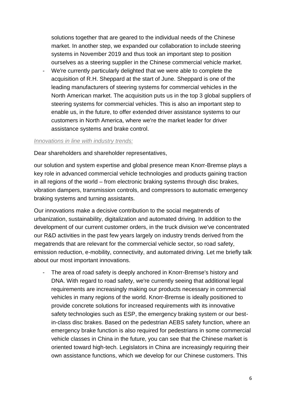solutions together that are geared to the individual needs of the Chinese market. In another step, we expanded our collaboration to include steering systems in November 2019 and thus took an important step to position ourselves as a steering supplier in the Chinese commercial vehicle market.

We're currently particularly delighted that we were able to complete the acquisition of R.H. Sheppard at the start of June. Sheppard is one of the leading manufacturers of steering systems for commercial vehicles in the North American market. The acquisition puts us in the top 3 global suppliers of steering systems for commercial vehicles. This is also an important step to enable us, in the future, to offer extended driver assistance systems to our customers in North America, where we're the market leader for driver assistance systems and brake control.

#### *Innovations in line with industry trends:*

Dear shareholders and shareholder representatives,

our solution and system expertise and global presence mean Knorr-Bremse plays a key role in advanced commercial vehicle technologies and products gaining traction in all regions of the world – from electronic braking systems through disc brakes, vibration dampers, transmission controls, and compressors to automatic emergency braking systems and turning assistants.

Our innovations make a decisive contribution to the social megatrends of urbanization, sustainability, digitalization and automated driving. In addition to the development of our current customer orders, in the truck division we've concentrated our R&D activities in the past few years largely on industry trends derived from the megatrends that are relevant for the commercial vehicle sector, so road safety, emission reduction, e-mobility, connectivity, and automated driving. Let me briefly talk about our most important innovations.

The area of road safety is deeply anchored in Knorr-Bremse's history and DNA. With regard to road safety, we're currently seeing that additional legal requirements are increasingly making our products necessary in commercial vehicles in many regions of the world. Knorr-Bremse is ideally positioned to provide concrete solutions for increased requirements with its innovative safety technologies such as ESP, the emergency braking system or our bestin-class disc brakes. Based on the pedestrian AEBS safety function, where an emergency brake function is also required for pedestrians in some commercial vehicle classes in China in the future, you can see that the Chinese market is oriented toward high-tech. Legislators in China are increasingly requiring their own assistance functions, which we develop for our Chinese customers. This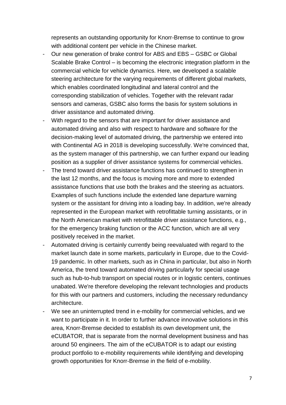represents an outstanding opportunity for Knorr-Bremse to continue to grow with additional content per vehicle in the Chinese market.

- Our new generation of brake control for ABS and EBS GSBC or Global Scalable Brake Control – is becoming the electronic integration platform in the commercial vehicle for vehicle dynamics. Here, we developed a scalable steering architecture for the varying requirements of different global markets, which enables coordinated longitudinal and lateral control and the corresponding stabilization of vehicles. Together with the relevant radar sensors and cameras, GSBC also forms the basis for system solutions in driver assistance and automated driving.
- With regard to the sensors that are important for driver assistance and automated driving and also with respect to hardware and software for the decision-making level of automated driving, the partnership we entered into with Continental AG in 2018 is developing successfully. We're convinced that, as the system manager of this partnership, we can further expand our leading position as a supplier of driver assistance systems for commercial vehicles.
- The trend toward driver assistance functions has continued to strengthen in the last 12 months, and the focus is moving more and more to extended assistance functions that use both the brakes and the steering as actuators. Examples of such functions include the extended lane departure warning system or the assistant for driving into a loading bay. In addition, we're already represented in the European market with retrofittable turning assistants, or in the North American market with retrofittable driver assistance functions, e.g., for the emergency braking function or the ACC function, which are all very positively received in the market.
- Automated driving is certainly currently being reevaluated with regard to the market launch date in some markets, particularly in Europe, due to the Covid-19 pandemic. In other markets, such as in China in particular, but also in North America, the trend toward automated driving particularly for special usage such as hub-to-hub transport on special routes or in logistic centers, continues unabated. We're therefore developing the relevant technologies and products for this with our partners and customers, including the necessary redundancy architecture.
- We see an uninterrupted trend in e-mobility for commercial vehicles, and we want to participate in it. In order to further advance innovative solutions in this area, Knorr-Bremse decided to establish its own development unit, the eCUBATOR, that is separate from the normal development business and has around 50 engineers. The aim of the eCUBATOR is to adapt our existing product portfolio to e-mobility requirements while identifying and developing growth opportunities for Knorr-Bremse in the field of e-mobility.